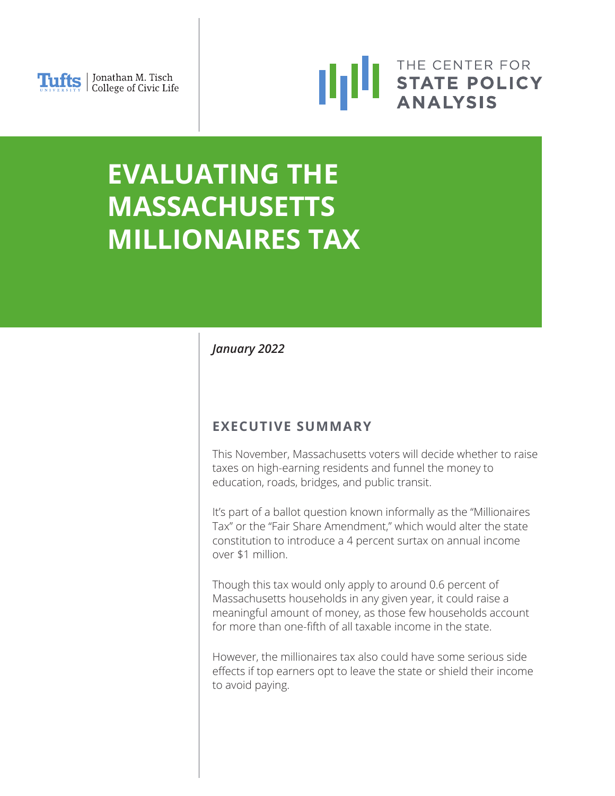



# **EVALUATING THE MASSACHUSETTS MILLIONAIRES TAX**

# *January 2022*

# **EXECUTIVE SUMMARY**

This November, Massachusetts voters will decide whether to raise taxes on high-earning residents and funnel the money to education, roads, bridges, and public transit.

It's part of a ballot question known informally as the "Millionaires Tax" or the "Fair Share Amendment," which would alter the state constitution to introduce a 4 percent surtax on annual income over \$1 million.

Though this tax would only apply to around 0.6 percent of Massachusetts households in any given year, it could raise a meaningful amount of money, as those few households account for more than one-fifth of all taxable income in the state.

However, the millionaires tax also could have some serious side effects if top earners opt to leave the state or shield their income to avoid paying.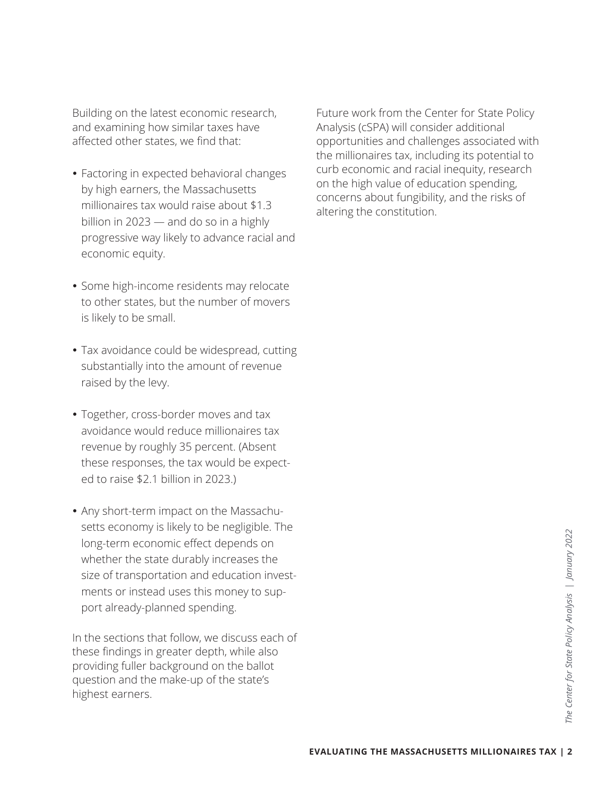Building on the latest economic research, and examining how similar taxes have affected other states, we find that:

- Factoring in expected behavioral changes by high earners, the Massachusetts millionaires tax would raise about \$1.3 billion in 2023 — and do so in a highly progressive way likely to advance racial and economic equity.
- Some high-income residents may relocate to other states, but the number of movers is likely to be small.
- Tax avoidance could be widespread, cutting substantially into the amount of revenue raised by the levy.
- Together, cross-border moves and tax avoidance would reduce millionaires tax revenue by roughly 35 percent. (Absent these responses, the tax would be expected to raise \$2.1 billion in 2023.)
- Any short-term impact on the Massachusetts economy is likely to be negligible. The long-term economic effect depends on whether the state durably increases the size of transportation and education investments or instead uses this money to support already-planned spending.

In the sections that follow, we discuss each of these findings in greater depth, while also providing fuller background on the ballot question and the make-up of the state's highest earners.

Future work from the Center for State Policy Analysis (cSPA) will consider additional opportunities and challenges associated with the millionaires tax, including its potential to curb economic and racial inequity, research on the high value of education spending, concerns about fungibility, and the risks of altering the constitution.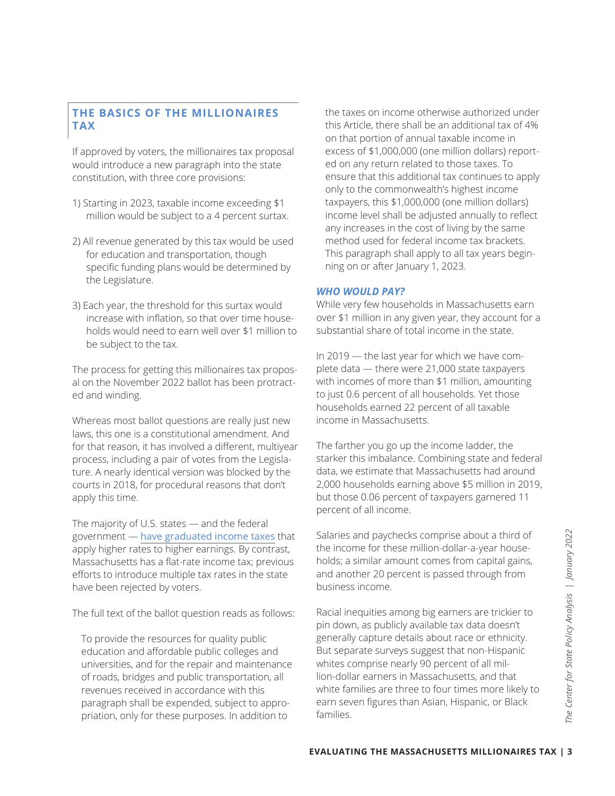### **THE BASICS OF THE MILLIONAIRES TAX**

If approved by voters, the millionaires tax proposal would introduce a new paragraph into the state constitution, with three core provisions:

- 1) Starting in 2023, taxable income exceeding \$1 million would be subject to a 4 percent surtax.
- 2) All revenue generated by this tax would be used for education and transportation, though specific funding plans would be determined by the Legislature.
- 3) Each year, the threshold for this surtax would increase with inflation, so that over time households would need to earn well over \$1 million to be subject to the tax.

The process for getting this millionaires tax proposal on the November 2022 ballot has been protracted and winding.

Whereas most ballot questions are really just new laws, this one is a constitutional amendment. And for that reason, it has involved a different, multiyear process, including a pair of votes from the Legislature. A nearly identical version was blocked by the courts in 2018, for procedural reasons that don't apply this time.

The majority of U.S. states — and the federal government — [have graduated income taxes](https://taxfoundation.org/publications/state-individual-income-tax-rates-and-brackets/) that apply higher rates to higher earnings. By contrast, Massachusetts has a flat-rate income tax; previous efforts to introduce multiple tax rates in the state have been rejected by voters.

The full text of the ballot question reads as follows:

To provide the resources for quality public education and affordable public colleges and universities, and for the repair and maintenance of roads, bridges and public transportation, all revenues received in accordance with this paragraph shall be expended, subject to appropriation, only for these purposes. In addition to

the taxes on income otherwise authorized under this Article, there shall be an additional tax of 4% on that portion of annual taxable income in excess of \$1,000,000 (one million dollars) reported on any return related to those taxes. To ensure that this additional tax continues to apply only to the commonwealth's highest income taxpayers, this \$1,000,000 (one million dollars) income level shall be adjusted annually to reflect any increases in the cost of living by the same method used for federal income tax brackets. This paragraph shall apply to all tax years beginning on or after January 1, 2023.

#### *WHO WOULD PAY?*

While very few households in Massachusetts earn over \$1 million in any given year, they account for a substantial share of total income in the state.

In 2019 — the last year for which we have complete data — there were 21,000 state taxpayers with incomes of more than \$1 million, amounting to just 0.6 percent of all households. Yet those households earned 22 percent of all taxable income in Massachusetts.

The farther you go up the income ladder, the starker this imbalance. Combining state and federal data, we estimate that Massachusetts had around 2,000 households earning above \$5 million in 2019, but those 0.06 percent of taxpayers garnered 11 percent of all income.

Salaries and paychecks comprise about a third of the income for these million-dollar-a-year households; a similar amount comes from capital gains, and another 20 percent is passed through from business income.

Salaries and paychecks comprise about a third of<br>the income for these million-dollar-a-year house-<br>holds; a similar amount comes from capital gains,<br>and another 20 percent is passed through from<br>business income.<br>Racial ine Racial inequities among big earners are trickier to pin down, as publicly available tax data doesn't generally capture details about race or ethnicity. But separate surveys suggest that non-Hispanic whites comprise nearly 90 percent of all million-dollar earners in Massachusetts, and that white families are three to four times more likely to earn seven figures than Asian, Hispanic, or Black families.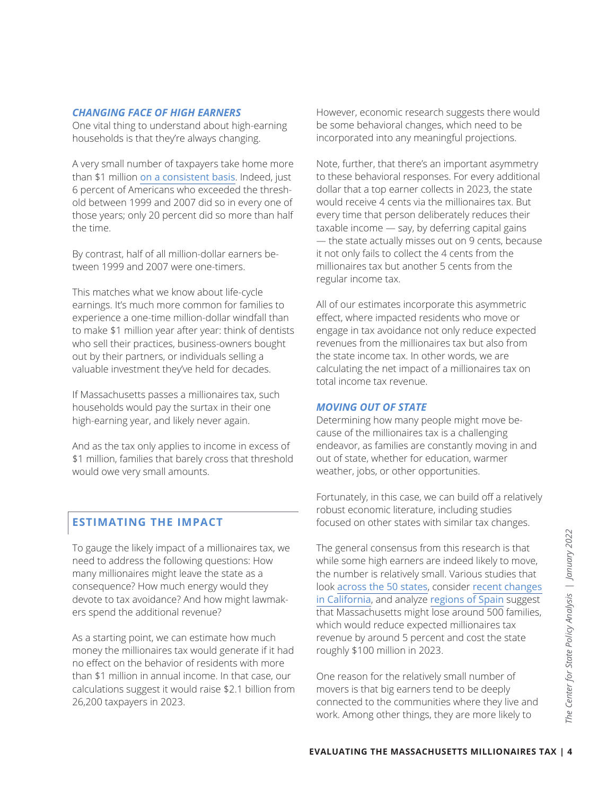#### *CHANGING FACE OF HIGH EARNERS*

One vital thing to understand about high-earning households is that they're always changing.

A very small number of taxpayers take home more than \$1 million [on a consistent basis](https://files.taxfoundation.org/legacy/docs/sr180.pdf). Indeed, just 6 percent of Americans who exceeded the threshold between 1999 and 2007 did so in every one of those years; only 20 percent did so more than half the time.

By contrast, half of all million-dollar earners between 1999 and 2007 were one-timers.

This matches what we know about life-cycle earnings. It's much more common for families to experience a one-time million-dollar windfall than to make \$1 million year after year: think of dentists who sell their practices, business-owners bought out by their partners, or individuals selling a valuable investment they've held for decades.

If Massachusetts passes a millionaires tax, such households would pay the surtax in their one high-earning year, and likely never again.

And as the tax only applies to income in excess of \$1 million, families that barely cross that threshold would owe very small amounts.

#### **ESTIMATING THE IMPACT**

To gauge the likely impact of a millionaires tax, we need to address the following questions: How many millionaires might leave the state as a consequence? How much energy would they devote to tax avoidance? And how might lawmakers spend the additional revenue?

As a starting point, we can estimate how much money the millionaires tax would generate if it had no effect on the behavior of residents with more than \$1 million in annual income. In that case, our calculations suggest it would raise \$2.1 billion from 26,200 taxpayers in 2023.

However, economic research suggests there would be some behavioral changes, which need to be incorporated into any meaningful projections.

Note, further, that there's an important asymmetry to these behavioral responses. For every additional dollar that a top earner collects in 2023, the state would receive 4 cents via the millionaires tax. But every time that person deliberately reduces their taxable income — say, by deferring capital gains — the state actually misses out on 9 cents, because it not only fails to collect the 4 cents from the millionaires tax but another 5 cents from the regular income tax.

All of our estimates incorporate this asymmetric effect, where impacted residents who move or engage in tax avoidance not only reduce expected revenues from the millionaires tax but also from the state income tax. In other words, we are calculating the net impact of a millionaires tax on total income tax revenue.

#### *MOVING OUT OF STATE*

Determining how many people might move because of the millionaires tax is a challenging endeavor, as families are constantly moving in and out of state, whether for education, warmer weather, jobs, or other opportunities.

Fortunately, in this case, we can build off a relatively robust economic literature, including studies focused on other states with similar tax changes.

The general consensus from this research is that<br>
while some high earners are indeed likely to move,<br>
the number is relatively small. Various studies that<br>
look <u>across the 50 states</u>, consider <u>recent changes</u><br>
in Califor The general consensus from this research is that while some high earners are indeed likely to move, the number is relatively small. Various studies that look [across the 50 states](http://cristobalyoung.com/development/wp-content/uploads/2018/11/Millionaire_migration_Jun16ASRFeature.pdf), consider [recent changes](https://www.nber.org/papers/w26349)  [in California](https://www.nber.org/papers/w26349), and analyze [regions of Spain](https://direct.mit.edu/rest/article-abstract/101/2/214/58521/Relocation-of-the-Rich-Migration-in-Response-to) suggest that Massachusetts might lose around 500 families, which would reduce expected millionaires tax revenue by around 5 percent and cost the state roughly \$100 million in 2023.

One reason for the relatively small number of movers is that big earners tend to be deeply connected to the communities where they live and work. Among other things, they are more likely to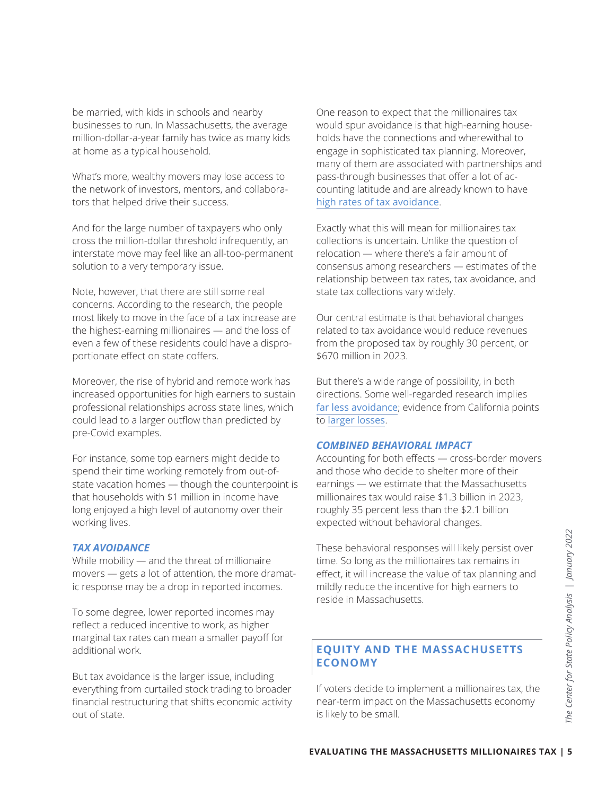be married, with kids in schools and nearby businesses to run. In Massachusetts, the average million-dollar-a-year family has twice as many kids at home as a typical household.

What's more, wealthy movers may lose access to the network of investors, mentors, and collaborators that helped drive their success.

And for the large number of taxpayers who only cross the million-dollar threshold infrequently, an interstate move may feel like an all-too-permanent solution to a very temporary issue.

Note, however, that there are still some real concerns. According to the research, the people most likely to move in the face of a tax increase are the highest-earning millionaires — and the loss of even a few of these residents could have a disproportionate effect on state coffers.

Moreover, the rise of hybrid and remote work has increased opportunities for high earners to sustain professional relationships across state lines, which could lead to a larger outflow than predicted by pre-Covid examples.

For instance, some top earners might decide to spend their time working remotely from out-ofstate vacation homes — though the counterpoint is that households with \$1 million in income have long enjoyed a high level of autonomy over their working lives.

#### *TAX AVOIDANCE*

While mobility — and the threat of millionaire movers — gets a lot of attention, the more dramatic response may be a drop in reported incomes.

To some degree, lower reported incomes may reflect a reduced incentive to work, as higher marginal tax rates can mean a smaller payoff for additional work.

But tax avoidance is the larger issue, including everything from curtailed stock trading to broader financial restructuring that shifts economic activity out of state.

One reason to expect that the millionaires tax would spur avoidance is that high-earning households have the connections and wherewithal to engage in sophisticated tax planning. Moreover, many of them are associated with partnerships and pass-through businesses that offer a lot of accounting latitude and are already known to have [high rates of tax avoidance](https://econofact.org/the-other-95-taxes-on-pass-through-businesses).

Exactly what this will mean for millionaires tax collections is uncertain. Unlike the question of relocation — where there's a fair amount of consensus among researchers — estimates of the relationship between tax rates, tax avoidance, and state tax collections vary widely.

Our central estimate is that behavioral changes related to tax avoidance would reduce revenues from the proposed tax by roughly 30 percent, or \$670 million in 2023.

But there's a wide range of possibility, in both directions. Some well-regarded research implies [far less avoidance](https://eml.berkeley.edu/~saez/saez-slemrod-giertzJEL12.pdf); evidence from California points to [larger losses](https://www.nber.org/papers/w26349).

#### *COMBINED BEHAVIORAL IMPACT*

Accounting for both effects — cross-border movers and those who decide to shelter more of their earnings — we estimate that the Massachusetts millionaires tax would raise \$1.3 billion in 2023, roughly 35 percent less than the \$2.1 billion expected without behavioral changes.

These behavioral responses will likely persist over<br>time. So long as the millionaires tax remains in<br>effect, it will increase the value of tax planning and<br>mildly reduce the incentive for high earners to<br>reside in Massachu These behavioral responses will likely persist over time. So long as the millionaires tax remains in effect, it will increase the value of tax planning and mildly reduce the incentive for high earners to reside in Massachusetts.

#### **EQUITY AND THE MASSACHUSETTS ECONOMY**

If voters decide to implement a millionaires tax, the near-term impact on the Massachusetts economy is likely to be small.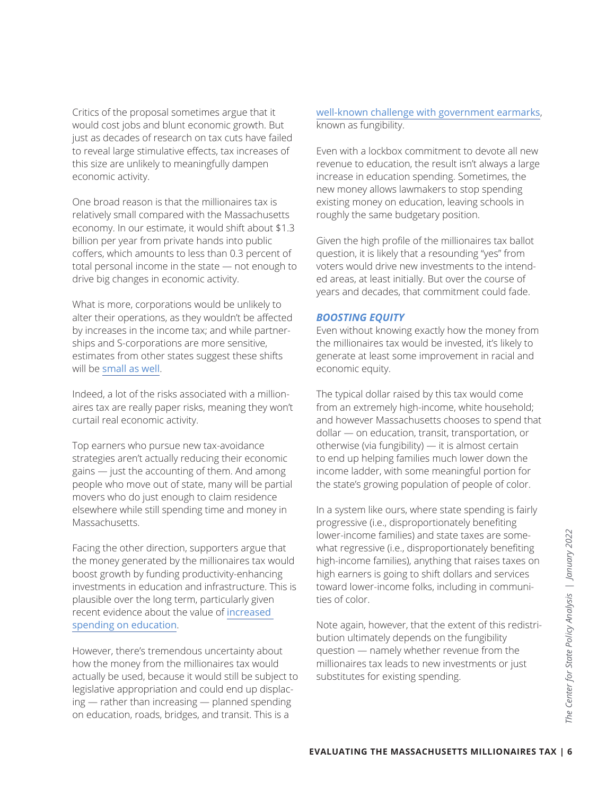Critics of the proposal sometimes argue that it would cost jobs and blunt economic growth. But just as decades of research on tax cuts have failed to reveal large stimulative effects, tax increases of this size are unlikely to meaningfully dampen economic activity.

One broad reason is that the millionaires tax is relatively small compared with the Massachusetts economy. In our estimate, it would shift about \$1.3 billion per year from private hands into public coffers, which amounts to less than 0.3 percent of total personal income in the state — not enough to drive big changes in economic activity.

What is more, corporations would be unlikely to alter their operations, as they wouldn't be affected by increases in the income tax; and while partnerships and S-corporations are more sensitive, estimates from other states suggest these shifts will be [small as well](https://nber.org/papers/w21534).

Indeed, a lot of the risks associated with a millionaires tax are really paper risks, meaning they won't curtail real economic activity.

Top earners who pursue new tax-avoidance strategies aren't actually reducing their economic gains — just the accounting of them. And among people who move out of state, many will be partial movers who do just enough to claim residence elsewhere while still spending time and money in Massachusetts.

Facing the other direction, supporters argue that the money generated by the millionaires tax would boost growth by funding productivity-enhancing investments in education and infrastructure. This is plausible over the long term, particularly given recent evidence about the value of [increased](https://psycnet.apa.org/record/2020-30963-008)  [spending on education](https://psycnet.apa.org/record/2020-30963-008).

However, there's tremendous uncertainty about how the money from the millionaires tax would actually be used, because it would still be subject to legislative appropriation and could end up displacing — rather than increasing — planned spending on education, roads, bridges, and transit. This is a

[well-known challenge with government earmarks](https://direct.mit.edu/edfp/article-abstract/15/1/136/10318/Supplement-or-Supplant-Estimating-the-Impact-of?redirectedFrom=fulltext), known as fungibility.

Even with a lockbox commitment to devote all new revenue to education, the result isn't always a large increase in education spending. Sometimes, the new money allows lawmakers to stop spending existing money on education, leaving schools in roughly the same budgetary position.

Given the high profile of the millionaires tax ballot question, it is likely that a resounding "yes" from voters would drive new investments to the intended areas, at least initially. But over the course of years and decades, that commitment could fade.

#### *BOOSTING EQUITY*

Even without knowing exactly how the money from the millionaires tax would be invested, it's likely to generate at least some improvement in racial and economic equity.

The typical dollar raised by this tax would come from an extremely high-income, white household; and however Massachusetts chooses to spend that dollar — on education, transit, transportation, or otherwise (via fungibility) — it is almost certain to end up helping families much lower down the income ladder, with some meaningful portion for the state's growing population of people of color.

**EVALUATING THE MASSACHUSETTS MILLIONAIRES TAX |**<br>
EVALUATING THE MASSACHUSETS AND RESPONSIVE THE MASSACHUSETS FOR DEVICEND-<br> **EVALUATING THE MASSACHUSETTS MILLIONAIRES TAX** | 6<br> **EVALUATING THE MASSACHUSETTS MILLIONAIRES** In a system like ours, where state spending is fairly progressive (i.e., disproportionately benefiting lower-income families) and state taxes are somewhat regressive (i.e., disproportionately benefiting high-income families), anything that raises taxes on high earners is going to shift dollars and services toward lower-income folks, including in communities of color.

Note again, however, that the extent of this redistribution ultimately depends on the fungibility question — namely whether revenue from the millionaires tax leads to new investments or just substitutes for existing spending.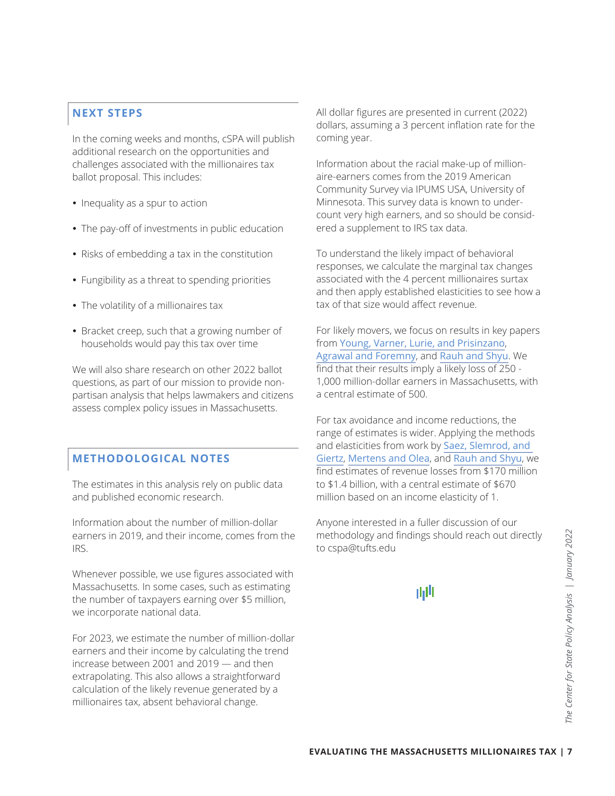## **NEXT STEPS**

In the coming weeks and months, cSPA will publish additional research on the opportunities and challenges associated with the millionaires tax ballot proposal. This includes:

- Inequality as a spur to action
- The pay-off of investments in public education
- Risks of embedding a tax in the constitution
- Fungibility as a threat to spending priorities
- The volatility of a millionaires tax
- Bracket creep, such that a growing number of households would pay this tax over time

We will also share research on other 2022 ballot questions, as part of our mission to provide nonpartisan analysis that helps lawmakers and citizens assess complex policy issues in Massachusetts.

# **METHODOLOGICAL NOTES**

The estimates in this analysis rely on public data and published economic research.

Information about the number of million-dollar earners in 2019, and their income, comes from the IRS.

Whenever possible, we use figures associated with Massachusetts. In some cases, such as estimating the number of taxpayers earning over \$5 million, we incorporate national data.

For 2023, we estimate the number of million-dollar earners and their income by calculating the trend increase between 2001 and 2019 — and then extrapolating. This also allows a straightforward calculation of the likely revenue generated by a millionaires tax, absent behavioral change.

All dollar figures are presented in current (2022) dollars, assuming a 3 percent inflation rate for the coming year.

Information about the racial make-up of millionaire-earners comes from the 2019 American Community Survey via IPUMS USA, University of Minnesota. This survey data is known to undercount very high earners, and so should be considered a supplement to IRS tax data.

To understand the likely impact of behavioral responses, we calculate the marginal tax changes associated with the 4 percent millionaires surtax and then apply established elasticities to see how a tax of that size would affect revenue.

For likely movers, we focus on results in key papers from [Young, Varner, Lurie, and Prisinzano](http://cristobalyoung.com/development/wp-content/uploads/2018/11/Millionaire_migration_Jun16ASRFeature.pdf), [Agrawal and Foremny](https://direct.mit.edu/rest/article-abstract/101/2/214/58521/Relocation-of-the-Rich-Migration-in-Response-to), and [Rauh and Shyu](https://www.nber.org/papers/w26349). We find that their results imply a likely loss of 250 - 1,000 million-dollar earners in Massachusetts, with a central estimate of 500.

For tax avoidance and income reductions, the range of estimates is wider. Applying the methods and elasticities from work by [Saez, Slemrod, and](https://eml.berkeley.edu/~saez/saez-slemrod-giertzJEL12.pdf)  [Giertz](https://eml.berkeley.edu/~saez/saez-slemrod-giertzJEL12.pdf), [Mertens and Olea](https://academic.oup.com/qje/article-abstract/133/4/1803/4880451), and [Rauh and Shyu](https://www.nber.org/papers/w26349), we find estimates of revenue losses from \$170 million to \$1.4 billion, with a central estimate of \$670 million based on an income elasticity of 1.

**EVALUATING THE MASSACHUSETTS MILLIONAIRES TAX | 7**<br> **EVALUATING THE MASSACHUSETTS MILLIONAIRES TAX | 7**<br> **EVALUATING THE MASSACHUSETTS MILLIONAIRES TAX** | 7 Anyone interested in a fuller discussion of our methodology and findings should reach out directly to cspa@tufts.edu